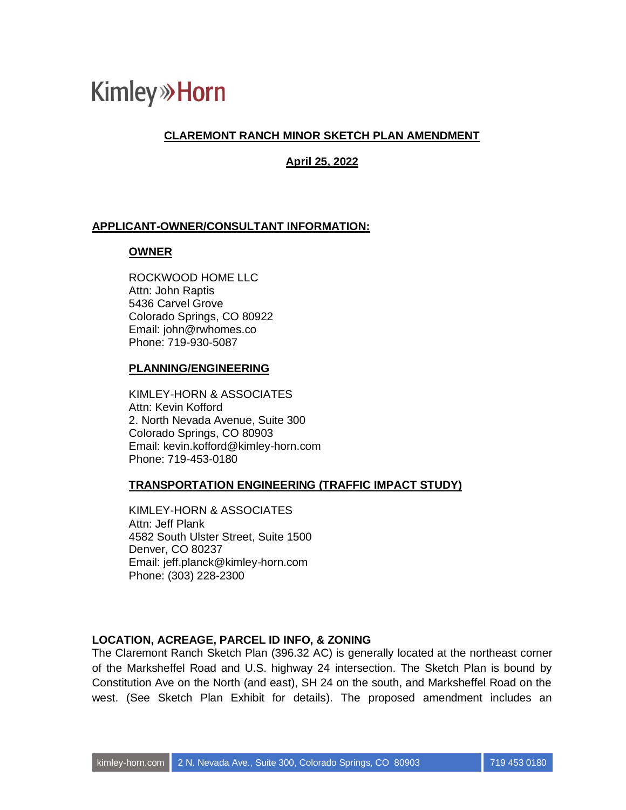## **CLAREMONT RANCH MINOR SKETCH PLAN AMENDMENT**

**April 25, 2022**

### **APPLICANT-OWNER/CONSULTANT INFORMATION:**

### **OWNER**

ROCKWOOD HOME LLC Attn: John Raptis 5436 Carvel Grove Colorado Springs, CO 80922 Email: john@rwhomes.co Phone: 719-930-5087

#### **PLANNING/ENGINEERING**

KIMLEY-HORN & ASSOCIATES Attn: Kevin Kofford 2. North Nevada Avenue, Suite 300 Colorado Springs, CO 80903 Email: kevin.kofford@kimley-horn.com Phone: 719-453-0180

#### **TRANSPORTATION ENGINEERING (TRAFFIC IMPACT STUDY)**

KIMLEY-HORN & ASSOCIATES Attn: Jeff Plank 4582 South Ulster Street, Suite 1500 Denver, CO 80237 Email: jeff.planck@kimley-horn.com Phone: (303) 228-2300

#### **LOCATION, ACREAGE, PARCEL ID INFO, & ZONING**

The Claremont Ranch Sketch Plan (396.32 AC) is generally located at the northeast corner of the Marksheffel Road and U.S. highway 24 intersection. The Sketch Plan is bound by Constitution Ave on the North (and east), SH 24 on the south, and Marksheffel Road on the west. (See Sketch Plan Exhibit for details). The proposed amendment includes an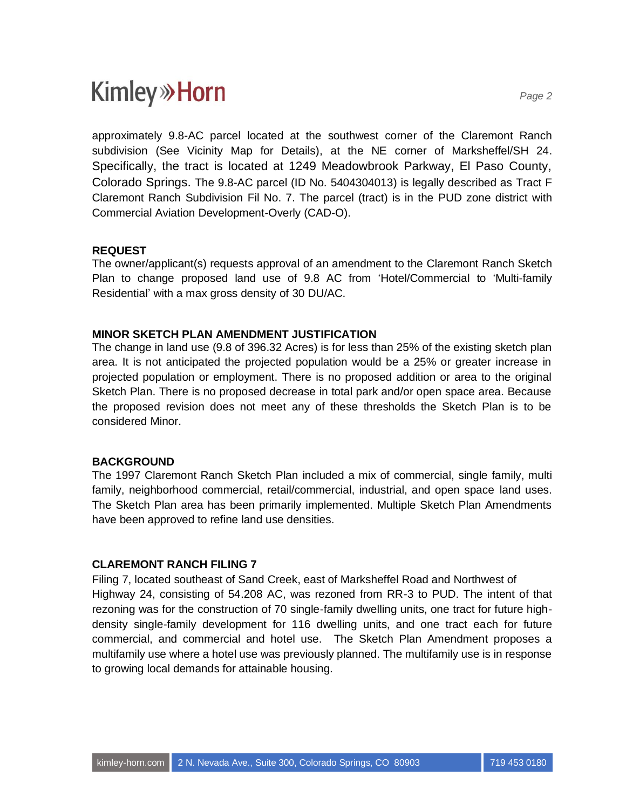approximately 9.8-AC parcel located at the southwest corner of the Claremont Ranch subdivision (See Vicinity Map for Details), at the NE corner of Marksheffel/SH 24. Specifically, the tract is located at 1249 Meadowbrook Parkway, El Paso County, Colorado Springs. The 9.8-AC parcel (ID No. 5404304013) is legally described as Tract F Claremont Ranch Subdivision Fil No. 7. The parcel (tract) is in the PUD zone district with Commercial Aviation Development-Overly (CAD-O).

### **REQUEST**

The owner/applicant(s) requests approval of an amendment to the Claremont Ranch Sketch Plan to change proposed land use of 9.8 AC from 'Hotel/Commercial to 'Multi-family Residential' with a max gross density of 30 DU/AC.

### **MINOR SKETCH PLAN AMENDMENT JUSTIFICATION**

The change in land use (9.8 of 396.32 Acres) is for less than 25% of the existing sketch plan area. It is not anticipated the projected population would be a 25% or greater increase in projected population or employment. There is no proposed addition or area to the original Sketch Plan. There is no proposed decrease in total park and/or open space area. Because the proposed revision does not meet any of these thresholds the Sketch Plan is to be considered Minor.

#### **BACKGROUND**

The 1997 Claremont Ranch Sketch Plan included a mix of commercial, single family, multi family, neighborhood commercial, retail/commercial, industrial, and open space land uses. The Sketch Plan area has been primarily implemented. Multiple Sketch Plan Amendments have been approved to refine land use densities.

### **CLAREMONT RANCH FILING 7**

Filing 7, located southeast of Sand Creek, east of Marksheffel Road and Northwest of Highway 24, consisting of 54.208 AC, was rezoned from RR-3 to PUD. The intent of that rezoning was for the construction of 70 single-family dwelling units, one tract for future highdensity single-family development for 116 dwelling units, and one tract each for future commercial, and commercial and hotel use. The Sketch Plan Amendment proposes a multifamily use where a hotel use was previously planned. The multifamily use is in response to growing local demands for attainable housing.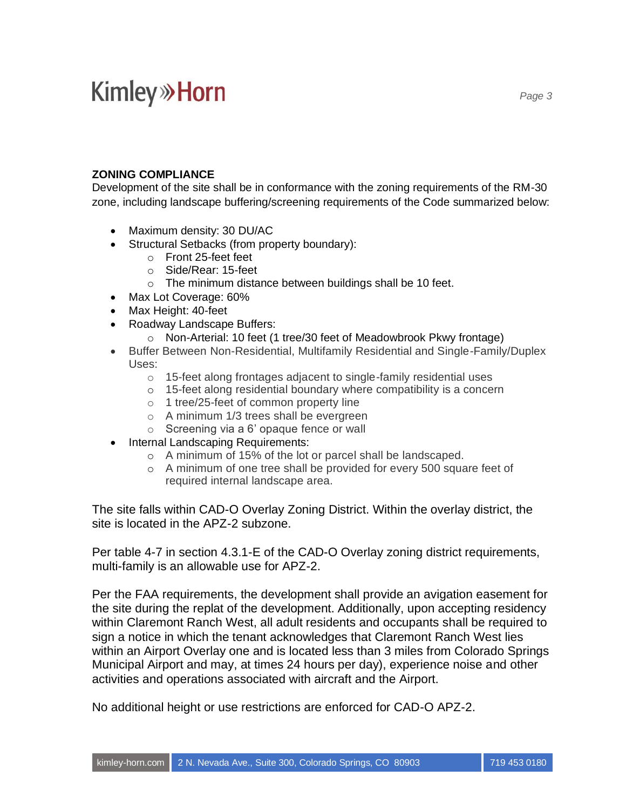### **ZONING COMPLIANCE**

Development of the site shall be in conformance with the zoning requirements of the RM-30 zone, including landscape buffering/screening requirements of the Code summarized below:

- Maximum density: 30 DU/AC
- Structural Setbacks (from property boundary):
	- o Front 25-feet feet
	- o Side/Rear: 15-feet
	- o The minimum distance between buildings shall be 10 feet.
- Max Lot Coverage: 60%
- Max Height: 40-feet
- Roadway Landscape Buffers:
	- o Non-Arterial: 10 feet (1 tree/30 feet of Meadowbrook Pkwy frontage)
- Buffer Between Non-Residential, Multifamily Residential and Single-Family/Duplex Uses:
	- o 15-feet along frontages adjacent to single-family residential uses
	- o 15-feet along residential boundary where compatibility is a concern
	- o 1 tree/25-feet of common property line
	- o A minimum 1/3 trees shall be evergreen
	- o Screening via a 6' opaque fence or wall
- Internal Landscaping Requirements:
	- o A minimum of 15% of the lot or parcel shall be landscaped.
	- o A minimum of one tree shall be provided for every 500 square feet of required internal landscape area.

The site falls within CAD-O Overlay Zoning District. Within the overlay district, the site is located in the APZ-2 subzone.

Per table 4-7 in section 4.3.1-E of the CAD-O Overlay zoning district requirements, multi-family is an allowable use for APZ-2.

Per the FAA requirements, the development shall provide an avigation easement for the site during the replat of the development. Additionally, upon accepting residency within Claremont Ranch West, all adult residents and occupants shall be required to sign a notice in which the tenant acknowledges that Claremont Ranch West lies within an Airport Overlay one and is located less than 3 miles from Colorado Springs Municipal Airport and may, at times 24 hours per day), experience noise and other activities and operations associated with aircraft and the Airport.

No additional height or use restrictions are enforced for CAD-O APZ-2.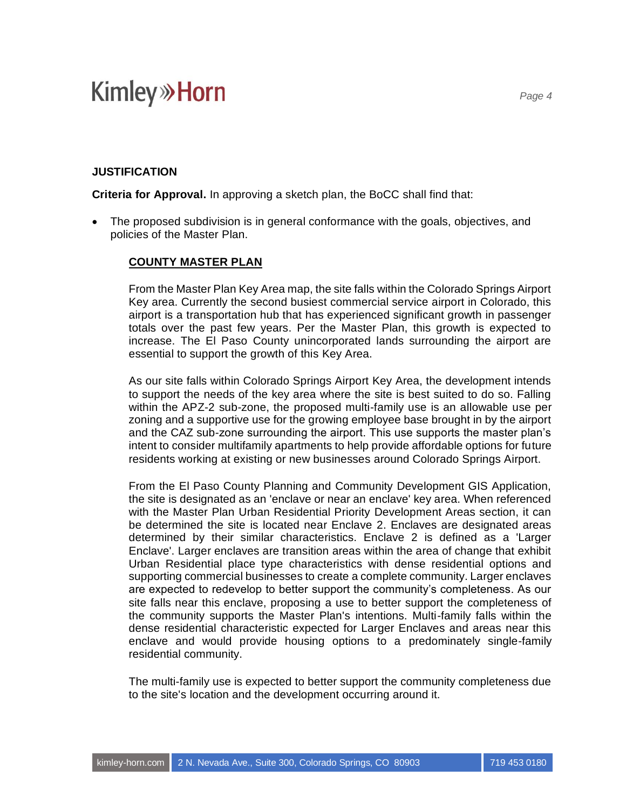### **JUSTIFICATION**

**Criteria for Approval.** In approving a sketch plan, the BoCC shall find that:

• The proposed subdivision is in general conformance with the goals, objectives, and policies of the Master Plan.

#### **COUNTY MASTER PLAN**

From the Master Plan Key Area map, the site falls within the Colorado Springs Airport Key area. Currently the second busiest commercial service airport in Colorado, this airport is a transportation hub that has experienced significant growth in passenger totals over the past few years. Per the Master Plan, this growth is expected to increase. The El Paso County unincorporated lands surrounding the airport are essential to support the growth of this Key Area.

As our site falls within Colorado Springs Airport Key Area, the development intends to support the needs of the key area where the site is best suited to do so. Falling within the APZ-2 sub-zone, the proposed multi-family use is an allowable use per zoning and a supportive use for the growing employee base brought in by the airport and the CAZ sub-zone surrounding the airport. This use supports the master plan's intent to consider multifamily apartments to help provide affordable options for future residents working at existing or new businesses around Colorado Springs Airport.

From the El Paso County Planning and Community Development GIS Application, the site is designated as an 'enclave or near an enclave' key area. When referenced with the Master Plan Urban Residential Priority Development Areas section, it can be determined the site is located near Enclave 2. Enclaves are designated areas determined by their similar characteristics. Enclave 2 is defined as a 'Larger Enclave'. Larger enclaves are transition areas within the area of change that exhibit Urban Residential place type characteristics with dense residential options and supporting commercial businesses to create a complete community. Larger enclaves are expected to redevelop to better support the community's completeness. As our site falls near this enclave, proposing a use to better support the completeness of the community supports the Master Plan's intentions. Multi-family falls within the dense residential characteristic expected for Larger Enclaves and areas near this enclave and would provide housing options to a predominately single-family residential community.

The multi-family use is expected to better support the community completeness due to the site's location and the development occurring around it.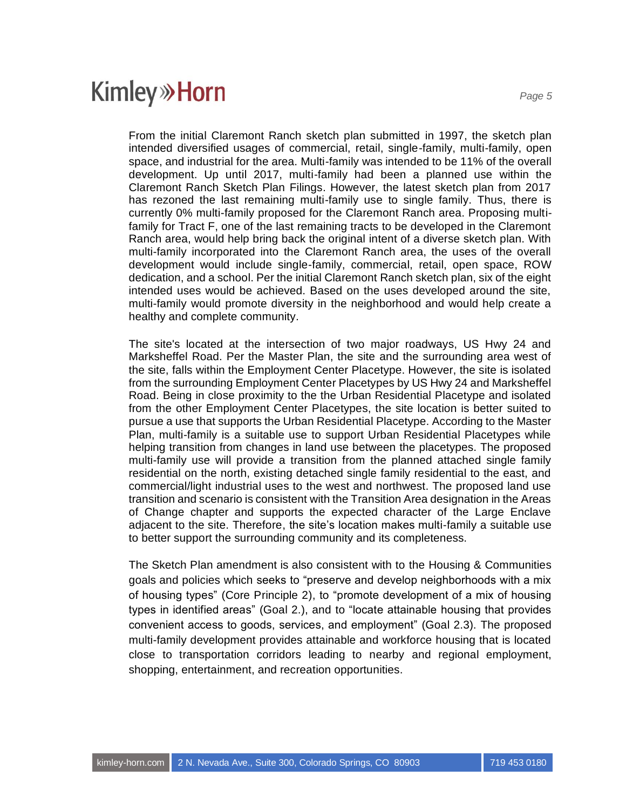From the initial Claremont Ranch sketch plan submitted in 1997, the sketch plan intended diversified usages of commercial, retail, single-family, multi-family, open space, and industrial for the area. Multi-family was intended to be 11% of the overall development. Up until 2017, multi-family had been a planned use within the Claremont Ranch Sketch Plan Filings. However, the latest sketch plan from 2017 has rezoned the last remaining multi-family use to single family. Thus, there is currently 0% multi-family proposed for the Claremont Ranch area. Proposing multifamily for Tract F, one of the last remaining tracts to be developed in the Claremont Ranch area, would help bring back the original intent of a diverse sketch plan. With multi-family incorporated into the Claremont Ranch area, the uses of the overall development would include single-family, commercial, retail, open space, ROW dedication, and a school. Per the initial Claremont Ranch sketch plan, six of the eight intended uses would be achieved. Based on the uses developed around the site, multi-family would promote diversity in the neighborhood and would help create a healthy and complete community.

The site's located at the intersection of two major roadways, US Hwy 24 and Marksheffel Road. Per the Master Plan, the site and the surrounding area west of the site, falls within the Employment Center Placetype. However, the site is isolated from the surrounding Employment Center Placetypes by US Hwy 24 and Marksheffel Road. Being in close proximity to the the Urban Residential Placetype and isolated from the other Employment Center Placetypes, the site location is better suited to pursue a use that supports the Urban Residential Placetype. According to the Master Plan, multi-family is a suitable use to support Urban Residential Placetypes while helping transition from changes in land use between the placetypes. The proposed multi-family use will provide a transition from the planned attached single family residential on the north, existing detached single family residential to the east, and commercial/light industrial uses to the west and northwest. The proposed land use transition and scenario is consistent with the Transition Area designation in the Areas of Change chapter and supports the expected character of the Large Enclave adjacent to the site. Therefore, the site's location makes multi-family a suitable use to better support the surrounding community and its completeness.

The Sketch Plan amendment is also consistent with to the Housing & Communities goals and policies which seeks to "preserve and develop neighborhoods with a mix of housing types" (Core Principle 2), to "promote development of a mix of housing types in identified areas" (Goal 2.), and to "locate attainable housing that provides convenient access to goods, services, and employment" (Goal 2.3). The proposed multi-family development provides attainable and workforce housing that is located close to transportation corridors leading to nearby and regional employment, shopping, entertainment, and recreation opportunities.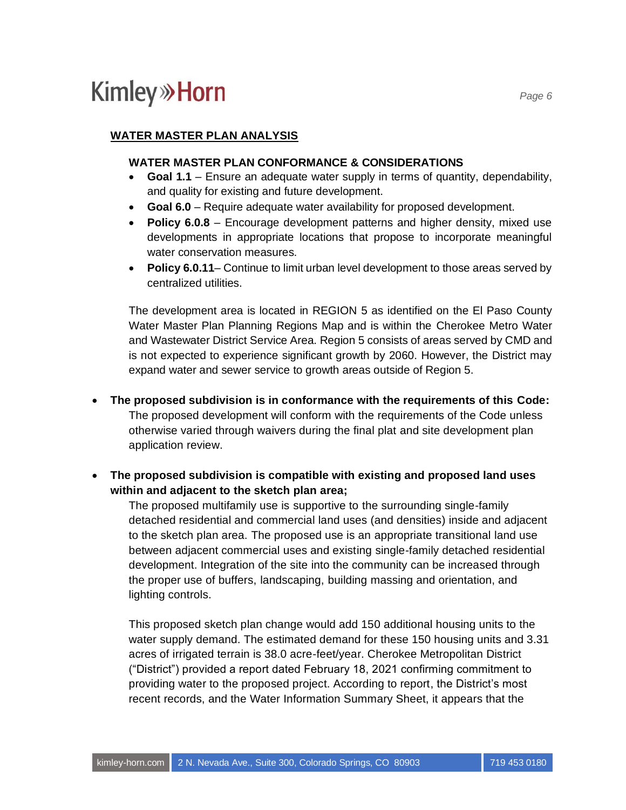## **WATER MASTER PLAN ANALYSIS**

#### **WATER MASTER PLAN CONFORMANCE & CONSIDERATIONS**

- **Goal 1.1** Ensure an adequate water supply in terms of quantity, dependability, and quality for existing and future development.
- **Goal 6.0** Require adequate water availability for proposed development.
- **Policy 6.0.8** Encourage development patterns and higher density, mixed use developments in appropriate locations that propose to incorporate meaningful water conservation measures.
- **Policy 6.0.11** Continue to limit urban level development to those areas served by centralized utilities.

The development area is located in REGION 5 as identified on the El Paso County Water Master Plan Planning Regions Map and is within the Cherokee Metro Water and Wastewater District Service Area. Region 5 consists of areas served by CMD and is not expected to experience significant growth by 2060. However, the District may expand water and sewer service to growth areas outside of Region 5.

- **The proposed subdivision is in conformance with the requirements of this Code:** The proposed development will conform with the requirements of the Code unless otherwise varied through waivers during the final plat and site development plan application review.
- **The proposed subdivision is compatible with existing and proposed land uses within and adjacent to the sketch plan area;**

The proposed multifamily use is supportive to the surrounding single-family detached residential and commercial land uses (and densities) inside and adjacent to the sketch plan area. The proposed use is an appropriate transitional land use between adjacent commercial uses and existing single-family detached residential development. Integration of the site into the community can be increased through the proper use of buffers, landscaping, building massing and orientation, and lighting controls.

This proposed sketch plan change would add 150 additional housing units to the water supply demand. The estimated demand for these 150 housing units and 3.31 acres of irrigated terrain is 38.0 acre-feet/year. Cherokee Metropolitan District ("District") provided a report dated February 18, 2021 confirming commitment to providing water to the proposed project. According to report, the District's most recent records, and the Water Information Summary Sheet, it appears that the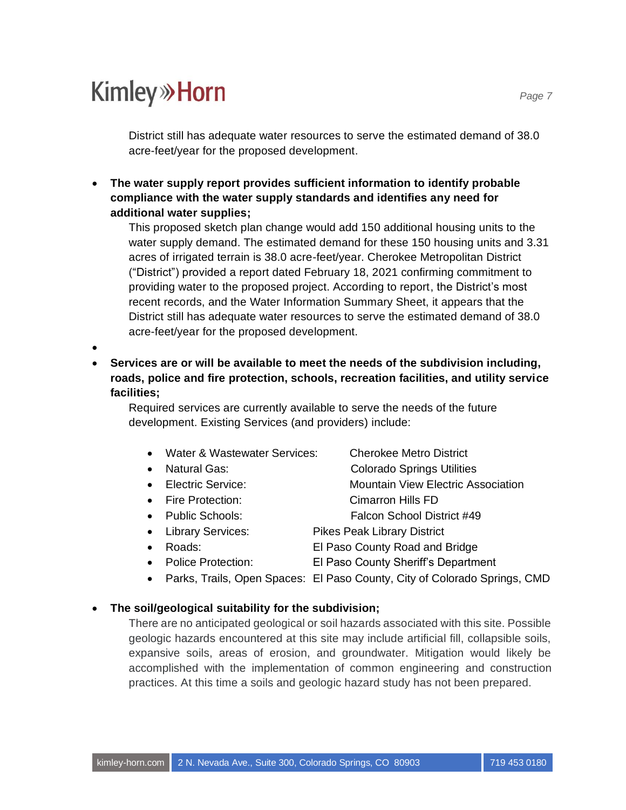District still has adequate water resources to serve the estimated demand of 38.0 acre-feet/year for the proposed development.

• **The water supply report provides sufficient information to identify probable compliance with the water supply standards and identifies any need for additional water supplies;**

This proposed sketch plan change would add 150 additional housing units to the water supply demand. The estimated demand for these 150 housing units and 3.31 acres of irrigated terrain is 38.0 acre-feet/year. Cherokee Metropolitan District ("District") provided a report dated February 18, 2021 confirming commitment to providing water to the proposed project. According to report, the District's most recent records, and the Water Information Summary Sheet, it appears that the District still has adequate water resources to serve the estimated demand of 38.0 acre-feet/year for the proposed development.

- •
- **Services are or will be available to meet the needs of the subdivision including, roads, police and fire protection, schools, recreation facilities, and utility service facilities;**

Required services are currently available to serve the needs of the future development. Existing Services (and providers) include:

- Water & Wastewater Services: Cherokee Metro District
- Natural Gas: Colorado Springs Utilities
- Electric Service: Mountain View Electric Association
- Fire Protection: Cimarron Hills FD
- Public Schools: Falcon School District #49
- Library Services: Pikes Peak Library District
- Roads: El Paso County Road and Bridge
	- Police Protection: El Paso County Sheriff's Department
- Parks, Trails, Open Spaces: El Paso County, City of Colorado Springs, CMD

## • **The soil/geological suitability for the subdivision;**

There are no anticipated geological or soil hazards associated with this site. Possible geologic hazards encountered at this site may include artificial fill, collapsible soils, expansive soils, areas of erosion, and groundwater. Mitigation would likely be accomplished with the implementation of common engineering and construction practices. At this time a soils and geologic hazard study has not been prepared.